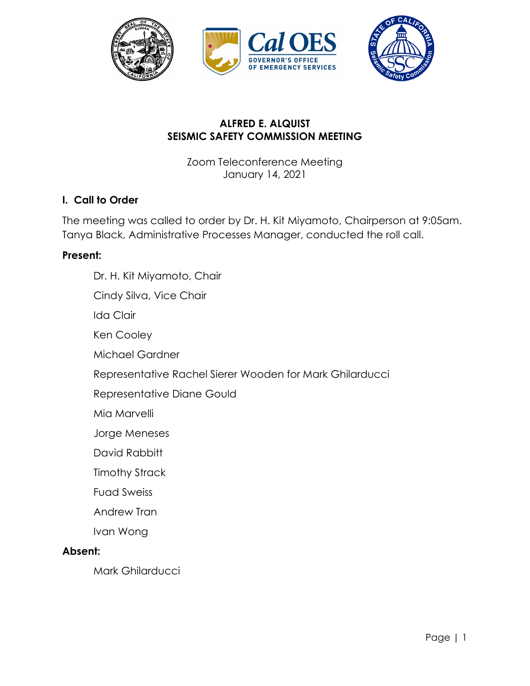

# **ALFRED E. ALQUIST SEISMIC SAFETY COMMISSION MEETING**

Zoom Teleconference Meeting January 14, 2021

### **I. Call to Order**

The meeting was called to order by Dr. H. Kit Miyamoto, Chairperson at 9:05am. Tanya Black, Administrative Processes Manager, conducted the roll call.

#### **Present:**

Dr. H. Kit Miyamoto, Chair Cindy Silva, Vice Chair Ida Clair Ken Cooley Michael Gardner Representative Rachel Sierer Wooden for Mark Ghilarducci Representative Diane Gould Mia Marvelli Jorge Meneses David Rabbitt Timothy Strack Fuad Sweiss Andrew Tran Ivan Wong **Absent:**  Mark Ghilarducci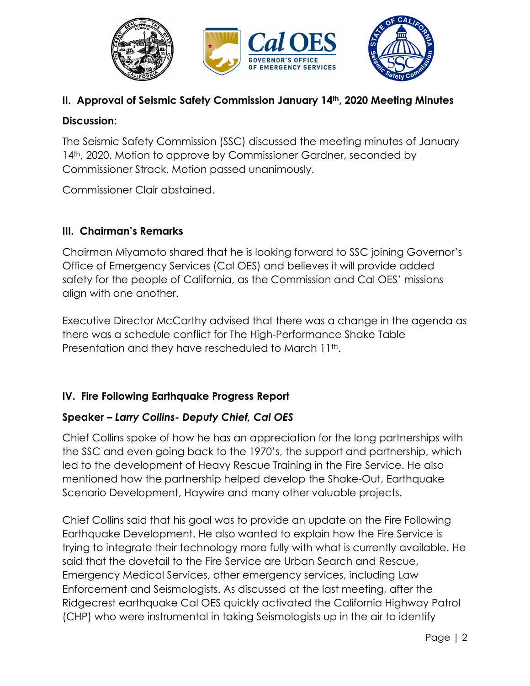

# **II. Approval of Seismic Safety Commission January 14th, 2020 Meeting Minutes**

### **Discussion:**

The Seismic Safety Commission (SSC) discussed the meeting minutes of January 14<sup>th</sup>, 2020. Motion to approve by Commissioner Gardner, seconded by Commissioner Strack. Motion passed unanimously.

Commissioner Clair abstained.

# **III. Chairman's Remarks**

Chairman Miyamoto shared that he is looking forward to SSC joining Governor's Office of Emergency Services (Cal OES) and believes it will provide added safety for the people of California, as the Commission and Cal OES' missions align with one another.

Executive Director McCarthy advised that there was a change in the agenda as there was a schedule conflict for The High-Performance Shake Table Presentation and they have rescheduled to March 11<sup>th</sup>.

# **IV. Fire Following Earthquake Progress Report**

### **Speaker** *– Larry Collins- Deputy Chief, Cal OES*

Chief Collins spoke of how he has an appreciation for the long partnerships with the SSC and even going back to the 1970's, the support and partnership, which led to the development of Heavy Rescue Training in the Fire Service. He also mentioned how the partnership helped develop the Shake-Out, Earthquake Scenario Development, Haywire and many other valuable projects.

Chief Collins said that his goal was to provide an update on the Fire Following Earthquake Development. He also wanted to explain how the Fire Service is trying to integrate their technology more fully with what is currently available. He said that the dovetail to the Fire Service are Urban Search and Rescue, Emergency Medical Services, other emergency services, including Law Enforcement and Seismologists. As discussed at the last meeting, after the Ridgecrest earthquake Cal OES quickly activated the California Highway Patrol (CHP) who were instrumental in taking Seismologists up in the air to identify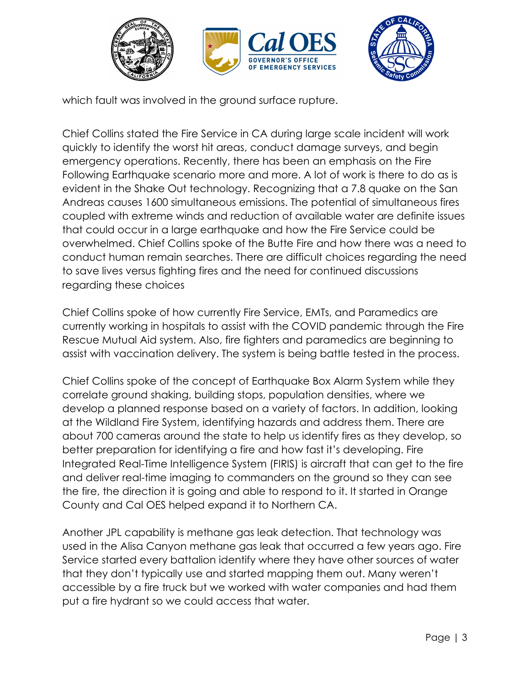

which fault was involved in the ground surface rupture.

Chief Collins stated the Fire Service in CA during large scale incident will work quickly to identify the worst hit areas, conduct damage surveys, and begin emergency operations. Recently, there has been an emphasis on the Fire Following Earthquake scenario more and more. A lot of work is there to do as is evident in the Shake Out technology. Recognizing that a 7.8 quake on the San Andreas causes 1600 simultaneous emissions. The potential of simultaneous fires coupled with extreme winds and reduction of available water are definite issues that could occur in a large earthquake and how the Fire Service could be overwhelmed. Chief Collins spoke of the Butte Fire and how there was a need to conduct human remain searches. There are difficult choices regarding the need to save lives versus fighting fires and the need for continued discussions regarding these choices

Chief Collins spoke of how currently Fire Service, EMTs, and Paramedics are currently working in hospitals to assist with the COVID pandemic through the Fire Rescue Mutual Aid system. Also, fire fighters and paramedics are beginning to assist with vaccination delivery. The system is being battle tested in the process.

Chief Collins spoke of the concept of Earthquake Box Alarm System while they correlate ground shaking, building stops, population densities, where we develop a planned response based on a variety of factors. In addition, looking at the Wildland Fire System, identifying hazards and address them. There are about 700 cameras around the state to help us identify fires as they develop, so better preparation for identifying a fire and how fast it's developing. Fire Integrated Real-Time Intelligence System (FIRIS) is aircraft that can get to the fire and deliver real-time imaging to commanders on the ground so they can see the fire, the direction it is going and able to respond to it. It started in Orange County and Cal OES helped expand it to Northern CA.

Another JPL capability is methane gas leak detection. That technology was used in the Alisa Canyon methane gas leak that occurred a few years ago. Fire Service started every battalion identify where they have other sources of water that they don't typically use and started mapping them out. Many weren't accessible by a fire truck but we worked with water companies and had them put a fire hydrant so we could access that water.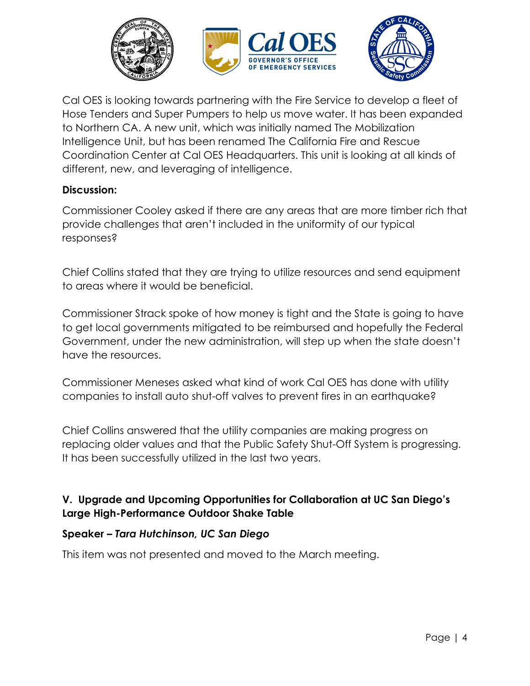

Cal OES is looking towards partnering with the Fire Service to develop a fleet of Hose Tenders and Super Pumpers to help us move water. It has been expanded to Northern CA. A new unit, which was initially named The Mobilization Intelligence Unit, but has been renamed The California Fire and Rescue Coordination Center at Cal OES Headquarters. This unit is looking at all kinds of different, new, and leveraging of intelligence.

### **Discussion:**

Commissioner Cooley asked if there are any areas that are more timber rich that provide challenges that aren't included in the uniformity of our typical responses?

Chief Collins stated that they are trying to utilize resources and send equipment to areas where it would be beneficial.

Commissioner Strack spoke of how money is tight and the State is going to have to get local governments mitigated to be reimbursed and hopefully the Federal Government, under the new administration, will step up when the state doesn't have the resources.

Commissioner Meneses asked what kind of work Cal OES has done with utility companies to install auto shut-off valves to prevent fires in an earthquake?

Chief Collins answered that the utility companies are making progress on replacing older values and that the Public Safety Shut-Off System is progressing. It has been successfully utilized in the last two years.

# **V. Upgrade and Upcoming Opportunities for Collaboration at UC San Diego's Large High-Performance Outdoor Shake Table**

### **Speaker** *– Tara Hutchinson, UC San Diego*

This item was not presented and moved to the March meeting.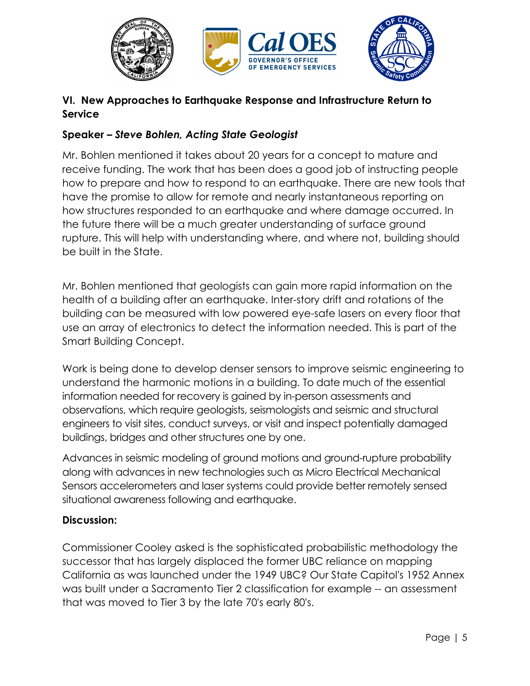

# **VI. New Approaches to Earthquake Response and Infrastructure Return to Service**

# **Speaker** *– Steve Bohlen, Acting State Geologist*

Mr. Bohlen mentioned it takes about 20 years for a concept to mature and receive funding. The work that has been does a good job of instructing people how to prepare and how to respond to an earthquake. There are new tools that have the promise to allow for remote and nearly instantaneous reporting on how structures responded to an earthquake and where damage occurred. In the future there will be a much greater understanding of surface ground rupture. This will help with understanding where, and where not, building should be built in the State.

Mr. Bohlen mentioned that geologists can gain more rapid information on the health of a building after an earthquake. Inter-story drift and rotations of the building can be measured with low powered eye-safe lasers on every floor that use an array of electronics to detect the information needed. This is part of the Smart Building Concept.

Work is being done to develop denser sensors to improve seismic engineering to understand the harmonic motions in a building. To date much of the essential information needed for recovery is gained by in-person assessments and observations, which require geologists, seismologists and seismic and structural engineers to visit sites, conduct surveys, or visit and inspect potentially damaged buildings, bridges and other structures one by one.

Advances in seismic modeling of ground motions and ground-rupture probability along with advances in new technologies such as Micro Electrical Mechanical Sensors accelerometers and laser systems could provide better remotely sensed situational awareness following and earthquake.

### **Discussion:**

Commissioner Cooley asked is the sophisticated probabilistic methodology the successor that has largely displaced the former UBC reliance on mapping California as was launched under the 1949 UBC? Our State Capitol's 1952 Annex was built under a Sacramento Tier 2 classification for example -- an assessment that was moved to Tier 3 by the late 70's early 80's.